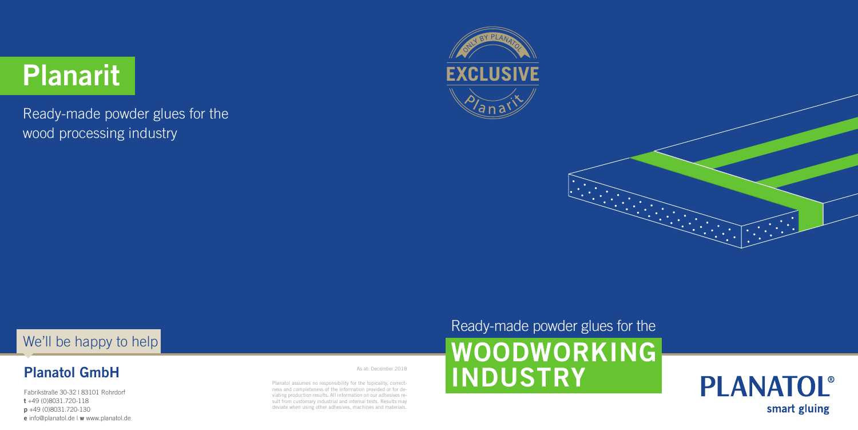#### **Planatol GmbH**

Fabrikstraße 30-32 | 83101 Rohrdorf **t** +49 (0)8031.720-118 **p** +49 (0)8031.720-130 **e** info@planatol.de | **w** www.planatol.de Planatol assumes no responsibility for the topicality, correctness and completeness of the information provided or for deviating production results. All information on our adhesives result from customary industrial and internal tests. Results may deviate when using other adhesives, machines and materials.

#### Ready-made powder glues for the

## **WOODWORKING INDUSTRY**





As at: December 2018

# **Planarit**

Ready-made powder glues for the wood processing industry





#### We'll be happy to help